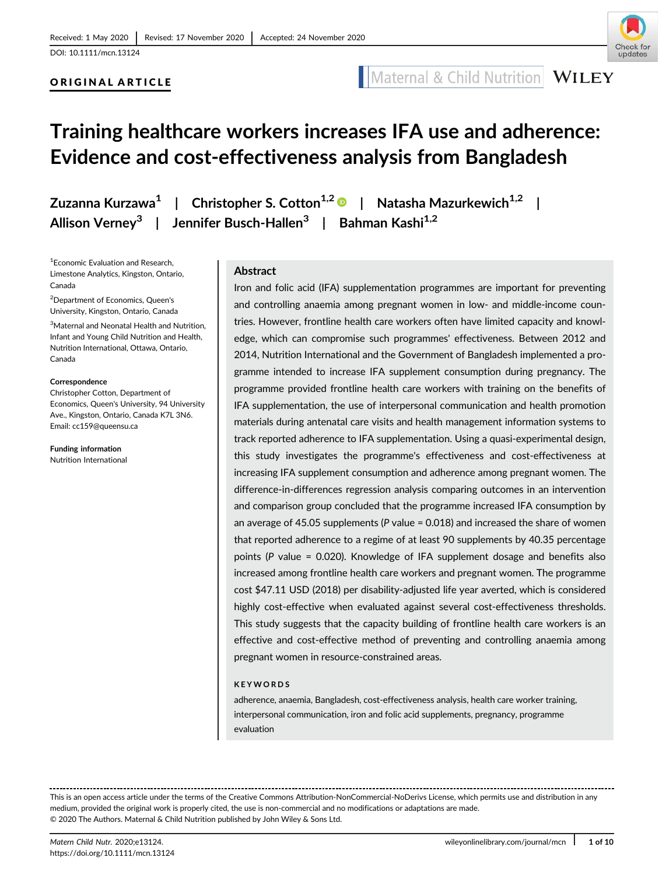# ORIGINAL ARTICLE



Maternal & Child Nutrition WILEY

# Training healthcare workers increases IFA use and adherence: Evidence and cost-effectiveness analysis from Bangladesh

Zuzanna Kurzawa<sup>1</sup> | Christopher S. Cotton<sup>1,2</sup> | Natasha Mazurkewich<sup>1,2</sup> Allison Verney<sup>3</sup> | Jennifer Busch-Hallen<sup>3</sup> | Bahman Kashi<sup>1,2</sup>

1 Economic Evaluation and Research, Limestone Analytics, Kingston, Ontario, Canada

<sup>2</sup>Department of Economics, Queen's University, Kingston, Ontario, Canada

<sup>3</sup>Maternal and Neonatal Health and Nutrition, Infant and Young Child Nutrition and Health, Nutrition International, Ottawa, Ontario, Canada

#### Correspondence

Christopher Cotton, Department of Economics, Queen's University, 94 University Ave., Kingston, Ontario, Canada K7L 3N6. Email: [cc159@queensu.ca](mailto:cc159@queensu.ca)

Funding information Nutrition International

#### Abstract

Iron and folic acid (IFA) supplementation programmes are important for preventing and controlling anaemia among pregnant women in low- and middle-income countries. However, frontline health care workers often have limited capacity and knowledge, which can compromise such programmes' effectiveness. Between 2012 and 2014, Nutrition International and the Government of Bangladesh implemented a programme intended to increase IFA supplement consumption during pregnancy. The programme provided frontline health care workers with training on the benefits of IFA supplementation, the use of interpersonal communication and health promotion materials during antenatal care visits and health management information systems to track reported adherence to IFA supplementation. Using a quasi-experimental design, this study investigates the programme's effectiveness and cost-effectiveness at increasing IFA supplement consumption and adherence among pregnant women. The difference-in-differences regression analysis comparing outcomes in an intervention and comparison group concluded that the programme increased IFA consumption by an average of 45.05 supplements (*P* value = 0.018) and increased the share of women that reported adherence to a regime of at least 90 supplements by 40.35 percentage points (*P* value = 0.020). Knowledge of IFA supplement dosage and benefits also increased among frontline health care workers and pregnant women. The programme cost \$47.11 USD (2018) per disability-adjusted life year averted, which is considered highly cost-effective when evaluated against several cost-effectiveness thresholds. This study suggests that the capacity building of frontline health care workers is an effective and cost-effective method of preventing and controlling anaemia among pregnant women in resource-constrained areas.

#### **KEYWORDS**

adherence, anaemia, Bangladesh, cost-effectiveness analysis, health care worker training, interpersonal communication, iron and folic acid supplements, pregnancy, programme evaluation

This is an open access article under the terms of the [Creative Commons Attribution-NonCommercial-NoDerivs](http://creativecommons.org/licenses/by-nc-nd/4.0/) License, which permits use and distribution in any medium, provided the original work is properly cited, the use is non-commercial and no modifications or adaptations are made. © 2020 The Authors. Maternal & Child Nutrition published by John Wiley & Sons Ltd.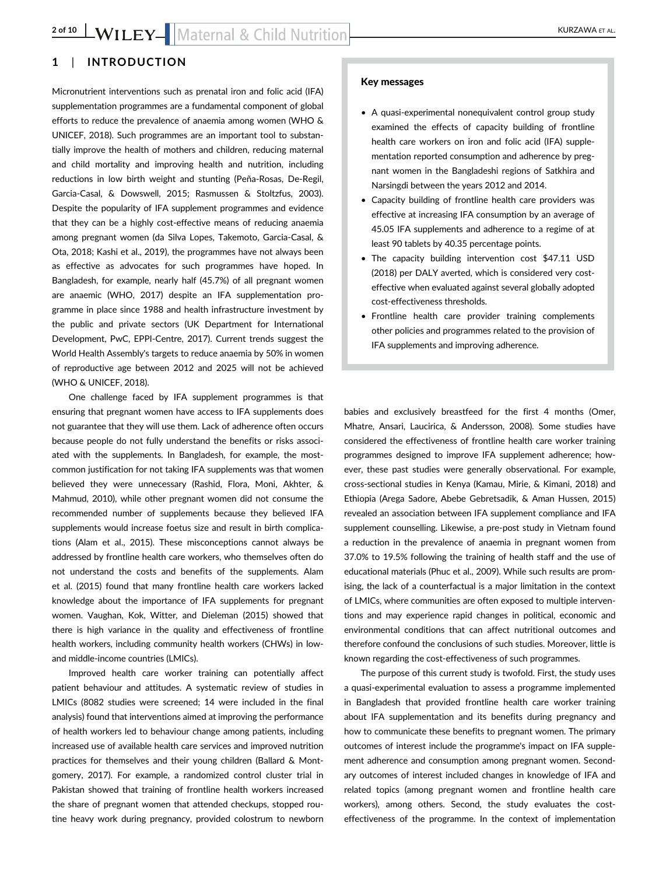20010 WILEY Maternal & Child Nutrition

# 1 | INTRODUCTION

Micronutrient interventions such as prenatal iron and folic acid (IFA) supplementation programmes are a fundamental component of global efforts to reduce the prevalence of anaemia among women (WHO & UNICEF, 2018). Such programmes are an important tool to substantially improve the health of mothers and children, reducing maternal and child mortality and improving health and nutrition, including reductions in low birth weight and stunting (Peña-Rosas, De-Regil, Garcia-Casal, & Dowswell, 2015; Rasmussen & Stoltzfus, 2003). Despite the popularity of IFA supplement programmes and evidence that they can be a highly cost-effective means of reducing anaemia among pregnant women (da Silva Lopes, Takemoto, Garcia-Casal, & Ota, 2018; Kashi et al., 2019), the programmes have not always been as effective as advocates for such programmes have hoped. In Bangladesh, for example, nearly half (45.7%) of all pregnant women are anaemic (WHO, 2017) despite an IFA supplementation programme in place since 1988 and health infrastructure investment by the public and private sectors (UK Department for International Development, PwC, EPPI-Centre, 2017). Current trends suggest the World Health Assembly's targets to reduce anaemia by 50% in women of reproductive age between 2012 and 2025 will not be achieved (WHO & UNICEF, 2018).

One challenge faced by IFA supplement programmes is that ensuring that pregnant women have access to IFA supplements does not guarantee that they will use them. Lack of adherence often occurs because people do not fully understand the benefits or risks associated with the supplements. In Bangladesh, for example, the mostcommon justification for not taking IFA supplements was that women believed they were unnecessary (Rashid, Flora, Moni, Akhter, & Mahmud, 2010), while other pregnant women did not consume the recommended number of supplements because they believed IFA supplements would increase foetus size and result in birth complications (Alam et al., 2015). These misconceptions cannot always be addressed by frontline health care workers, who themselves often do not understand the costs and benefits of the supplements. Alam et al. (2015) found that many frontline health care workers lacked knowledge about the importance of IFA supplements for pregnant women. Vaughan, Kok, Witter, and Dieleman (2015) showed that there is high variance in the quality and effectiveness of frontline health workers, including community health workers (CHWs) in lowand middle-income countries (LMICs).

Improved health care worker training can potentially affect patient behaviour and attitudes. A systematic review of studies in LMICs (8082 studies were screened; 14 were included in the final analysis) found that interventions aimed at improving the performance of health workers led to behaviour change among patients, including increased use of available health care services and improved nutrition practices for themselves and their young children (Ballard & Montgomery, 2017). For example, a randomized control cluster trial in Pakistan showed that training of frontline health workers increased the share of pregnant women that attended checkups, stopped routine heavy work during pregnancy, provided colostrum to newborn

#### Key messages

- A quasi-experimental nonequivalent control group study examined the effects of capacity building of frontline health care workers on iron and folic acid (IFA) supplementation reported consumption and adherence by pregnant women in the Bangladeshi regions of Satkhira and Narsingdi between the years 2012 and 2014.
- Capacity building of frontline health care providers was effective at increasing IFA consumption by an average of 45.05 IFA supplements and adherence to a regime of at least 90 tablets by 40.35 percentage points.
- The capacity building intervention cost \$47.11 USD (2018) per DALY averted, which is considered very costeffective when evaluated against several globally adopted cost-effectiveness thresholds.
- Frontline health care provider training complements other policies and programmes related to the provision of IFA supplements and improving adherence.

babies and exclusively breastfeed for the first 4 months (Omer, Mhatre, Ansari, Laucirica, & Andersson, 2008). Some studies have considered the effectiveness of frontline health care worker training programmes designed to improve IFA supplement adherence; however, these past studies were generally observational. For example, cross-sectional studies in Kenya (Kamau, Mirie, & Kimani, 2018) and Ethiopia (Arega Sadore, Abebe Gebretsadik, & Aman Hussen, 2015) revealed an association between IFA supplement compliance and IFA supplement counselling. Likewise, a pre-post study in Vietnam found a reduction in the prevalence of anaemia in pregnant women from 37.0% to 19.5% following the training of health staff and the use of educational materials (Phuc et al., 2009). While such results are promising, the lack of a counterfactual is a major limitation in the context of LMICs, where communities are often exposed to multiple interventions and may experience rapid changes in political, economic and environmental conditions that can affect nutritional outcomes and therefore confound the conclusions of such studies. Moreover, little is known regarding the cost-effectiveness of such programmes.

The purpose of this current study is twofold. First, the study uses a quasi-experimental evaluation to assess a programme implemented in Bangladesh that provided frontline health care worker training about IFA supplementation and its benefits during pregnancy and how to communicate these benefits to pregnant women. The primary outcomes of interest include the programme's impact on IFA supplement adherence and consumption among pregnant women. Secondary outcomes of interest included changes in knowledge of IFA and related topics (among pregnant women and frontline health care workers), among others. Second, the study evaluates the costeffectiveness of the programme. In the context of implementation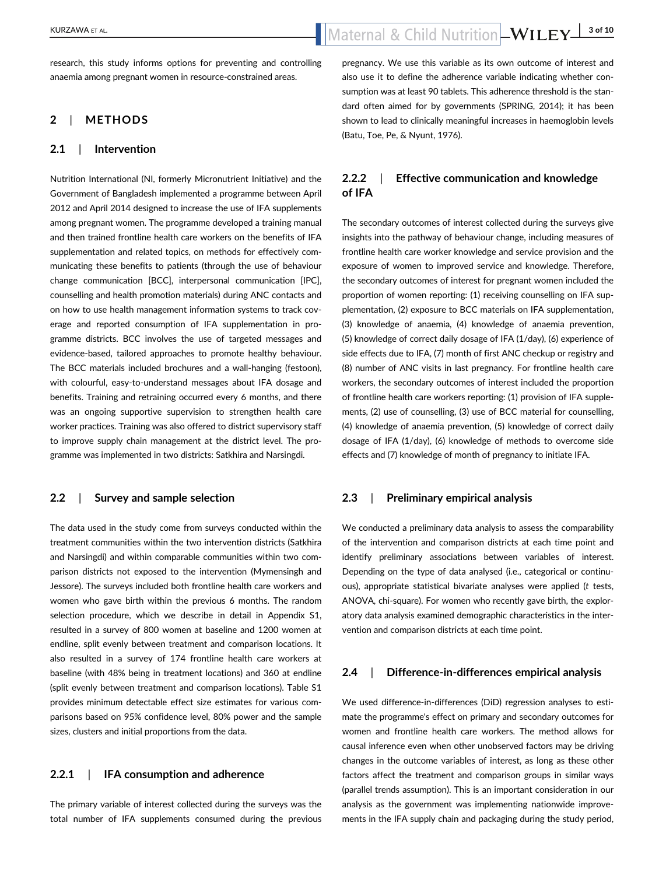research, this study informs options for preventing and controlling anaemia among pregnant women in resource-constrained areas.

# 2 | METHODS

#### 2.1 | Intervention

Nutrition International (NI, formerly Micronutrient Initiative) and the Government of Bangladesh implemented a programme between April 2012 and April 2014 designed to increase the use of IFA supplements among pregnant women. The programme developed a training manual and then trained frontline health care workers on the benefits of IFA supplementation and related topics, on methods for effectively communicating these benefits to patients (through the use of behaviour change communication [BCC], interpersonal communication [IPC], counselling and health promotion materials) during ANC contacts and on how to use health management information systems to track coverage and reported consumption of IFA supplementation in programme districts. BCC involves the use of targeted messages and evidence-based, tailored approaches to promote healthy behaviour. The BCC materials included brochures and a wall-hanging (festoon), with colourful, easy-to-understand messages about IFA dosage and benefits. Training and retraining occurred every 6 months, and there was an ongoing supportive supervision to strengthen health care worker practices. Training was also offered to district supervisory staff to improve supply chain management at the district level. The programme was implemented in two districts: Satkhira and Narsingdi.

#### 2.2 | Survey and sample selection

The data used in the study come from surveys conducted within the treatment communities within the two intervention districts (Satkhira and Narsingdi) and within comparable communities within two comparison districts not exposed to the intervention (Mymensingh and Jessore). The surveys included both frontline health care workers and women who gave birth within the previous 6 months. The random selection procedure, which we describe in detail in Appendix S1, resulted in a survey of 800 women at baseline and 1200 women at endline, split evenly between treatment and comparison locations. It also resulted in a survey of 174 frontline health care workers at baseline (with 48% being in treatment locations) and 360 at endline (split evenly between treatment and comparison locations). Table S1 provides minimum detectable effect size estimates for various comparisons based on 95% confidence level, 80% power and the sample sizes, clusters and initial proportions from the data.

## 2.2.1 | IFA consumption and adherence

The primary variable of interest collected during the surveys was the total number of IFA supplements consumed during the previous pregnancy. We use this variable as its own outcome of interest and also use it to define the adherence variable indicating whether consumption was at least 90 tablets. This adherence threshold is the standard often aimed for by governments (SPRING, 2014); it has been shown to lead to clinically meaningful increases in haemoglobin levels (Batu, Toe, Pe, & Nyunt, 1976).

# 2.2.2 | Effective communication and knowledge of IFA

The secondary outcomes of interest collected during the surveys give insights into the pathway of behaviour change, including measures of frontline health care worker knowledge and service provision and the exposure of women to improved service and knowledge. Therefore, the secondary outcomes of interest for pregnant women included the proportion of women reporting: (1) receiving counselling on IFA supplementation, (2) exposure to BCC materials on IFA supplementation, (3) knowledge of anaemia, (4) knowledge of anaemia prevention, (5) knowledge of correct daily dosage of IFA (1/day), (6) experience of side effects due to IFA, (7) month of first ANC checkup or registry and (8) number of ANC visits in last pregnancy. For frontline health care workers, the secondary outcomes of interest included the proportion of frontline health care workers reporting: (1) provision of IFA supplements, (2) use of counselling, (3) use of BCC material for counselling, (4) knowledge of anaemia prevention, (5) knowledge of correct daily dosage of IFA (1/day), (6) knowledge of methods to overcome side effects and (7) knowledge of month of pregnancy to initiate IFA.

#### 2.3 | Preliminary empirical analysis

We conducted a preliminary data analysis to assess the comparability of the intervention and comparison districts at each time point and identify preliminary associations between variables of interest. Depending on the type of data analysed (i.e., categorical or continuous), appropriate statistical bivariate analyses were applied (*t* tests, ANOVA, chi-square). For women who recently gave birth, the exploratory data analysis examined demographic characteristics in the intervention and comparison districts at each time point.

# 2.4 | Difference-in-differences empirical analysis

We used difference-in-differences (DiD) regression analyses to estimate the programme's effect on primary and secondary outcomes for women and frontline health care workers. The method allows for causal inference even when other unobserved factors may be driving changes in the outcome variables of interest, as long as these other factors affect the treatment and comparison groups in similar ways (parallel trends assumption). This is an important consideration in our analysis as the government was implementing nationwide improvements in the IFA supply chain and packaging during the study period,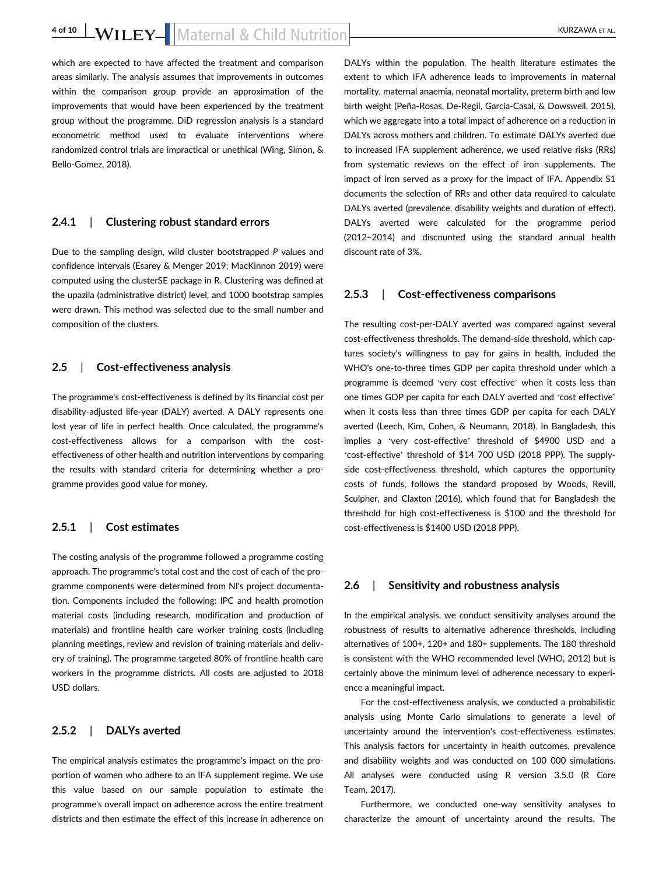which are expected to have affected the treatment and comparison areas similarly. The analysis assumes that improvements in outcomes within the comparison group provide an approximation of the improvements that would have been experienced by the treatment group without the programme. DiD regression analysis is a standard econometric method used to evaluate interventions where randomized control trials are impractical or unethical (Wing, Simon, & Bello-Gomez, 2018).

#### 2.4.1 | Clustering robust standard errors

Due to the sampling design, wild cluster bootstrapped *P* values and confidence intervals (Esarey & Menger 2019; MacKinnon 2019) were computed using the clusterSE package in R. Clustering was defined at the upazila (administrative district) level, and 1000 bootstrap samples were drawn. This method was selected due to the small number and composition of the clusters.

#### 2.5 | Cost-effectiveness analysis

The programme's cost-effectiveness is defined by its financial cost per disability-adjusted life-year (DALY) averted. A DALY represents one lost year of life in perfect health. Once calculated, the programme's cost-effectiveness allows for a comparison with the costeffectiveness of other health and nutrition interventions by comparing the results with standard criteria for determining whether a programme provides good value for money.

#### 2.5.1 | Cost estimates

The costing analysis of the programme followed a programme costing approach. The programme's total cost and the cost of each of the programme components were determined from NI's project documentation. Components included the following: IPC and health promotion material costs (including research, modification and production of materials) and frontline health care worker training costs (including planning meetings, review and revision of training materials and delivery of training). The programme targeted 80% of frontline health care workers in the programme districts. All costs are adjusted to 2018 USD dollars.

# 2.5.2 | DALYs averted

The empirical analysis estimates the programme's impact on the proportion of women who adhere to an IFA supplement regime. We use this value based on our sample population to estimate the programme's overall impact on adherence across the entire treatment districts and then estimate the effect of this increase in adherence on

DALYs within the population. The health literature estimates the extent to which IFA adherence leads to improvements in maternal mortality, maternal anaemia, neonatal mortality, preterm birth and low birth weight (Peña-Rosas, De-Regil, Garcia-Casal, & Dowswell, 2015), which we aggregate into a total impact of adherence on a reduction in DALYs across mothers and children. To estimate DALYs averted due to increased IFA supplement adherence, we used relative risks (RRs) from systematic reviews on the effect of iron supplements. The impact of iron served as a proxy for the impact of IFA. Appendix S1 documents the selection of RRs and other data required to calculate DALYs averted (prevalence, disability weights and duration of effect). DALYs averted were calculated for the programme period (2012–2014) and discounted using the standard annual health discount rate of 3%.

#### 2.5.3 | Cost-effectiveness comparisons

The resulting cost-per-DALY averted was compared against several cost-effectiveness thresholds. The demand-side threshold, which captures society's willingness to pay for gains in health, included the WHO's one-to-three times GDP per capita threshold under which a programme is deemed 'very cost effective' when it costs less than one times GDP per capita for each DALY averted and 'cost effective' when it costs less than three times GDP per capita for each DALY averted (Leech, Kim, Cohen, & Neumann, 2018). In Bangladesh, this implies a 'very cost-effective' threshold of \$4900 USD and a 'cost-effective' threshold of \$14 700 USD (2018 PPP). The supplyside cost-effectiveness threshold, which captures the opportunity costs of funds, follows the standard proposed by Woods, Revill, Sculpher, and Claxton (2016), which found that for Bangladesh the threshold for high cost-effectiveness is \$100 and the threshold for cost-effectiveness is \$1400 USD (2018 PPP).

#### 2.6 | Sensitivity and robustness analysis

In the empirical analysis, we conduct sensitivity analyses around the robustness of results to alternative adherence thresholds, including alternatives of 100+, 120+ and 180+ supplements. The 180 threshold is consistent with the WHO recommended level (WHO, 2012) but is certainly above the minimum level of adherence necessary to experience a meaningful impact.

For the cost-effectiveness analysis, we conducted a probabilistic analysis using Monte Carlo simulations to generate a level of uncertainty around the intervention's cost-effectiveness estimates. This analysis factors for uncertainty in health outcomes, prevalence and disability weights and was conducted on 100 000 simulations. All analyses were conducted using R version 3.5.0 (R Core Team, 2017).

Furthermore, we conducted one-way sensitivity analyses to characterize the amount of uncertainty around the results. The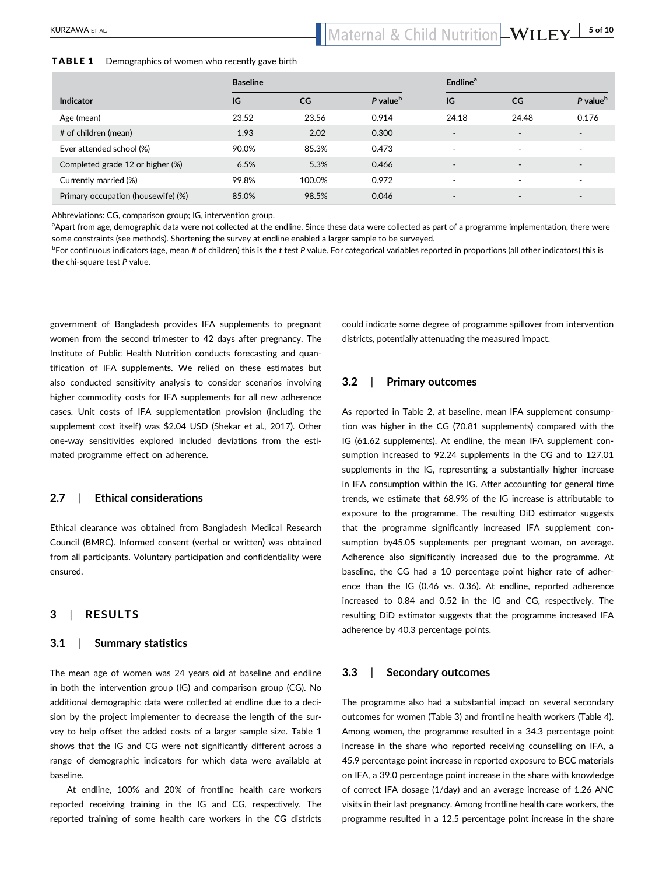#### TABLE 1 Demographics of women who recently gave birth

|                                    | <b>Baseline</b> |        |                      | Endline <sup>a</sup>     |                          |                          |
|------------------------------------|-----------------|--------|----------------------|--------------------------|--------------------------|--------------------------|
| <b>Indicator</b>                   | IG              | CG     | P value <sup>b</sup> | IG                       | CG                       | P value <sup>b</sup>     |
| Age (mean)                         | 23.52           | 23.56  | 0.914                | 24.18                    | 24.48                    | 0.176                    |
| # of children (mean)               | 1.93            | 2.02   | 0.300                | $\overline{\phantom{a}}$ | $\overline{\phantom{a}}$ | $\overline{\phantom{a}}$ |
| Ever attended school (%)           | 90.0%           | 85.3%  | 0.473                | ٠                        | $\sim$                   | $\sim$                   |
| Completed grade 12 or higher (%)   | 6.5%            | 5.3%   | 0.466                | $\overline{\phantom{a}}$ | $\sim$                   | $\overline{\phantom{a}}$ |
| Currently married (%)              | 99.8%           | 100.0% | 0.972                | $\overline{\phantom{a}}$ | $\overline{\phantom{a}}$ | $\sim$                   |
| Primary occupation (housewife) (%) | 85.0%           | 98.5%  | 0.046                | $\overline{\phantom{a}}$ | $\overline{\phantom{a}}$ | $\overline{\phantom{a}}$ |

Abbreviations: CG, comparison group; IG, intervention group.

<sup>a</sup>Apart from age, demographic data were not collected at the endline. Since these data were collected as part of a programme implementation, there were some constraints (see methods). Shortening the survey at endline enabled a larger sample to be surveyed.

b For continuous indicators (age, mean # of children) this is the *t* test *P* value. For categorical variables reported in proportions (all other indicators) this is the chi-square test *P* value.

government of Bangladesh provides IFA supplements to pregnant women from the second trimester to 42 days after pregnancy. The Institute of Public Health Nutrition conducts forecasting and quantification of IFA supplements. We relied on these estimates but also conducted sensitivity analysis to consider scenarios involving higher commodity costs for IFA supplements for all new adherence cases. Unit costs of IFA supplementation provision (including the supplement cost itself) was \$2.04 USD (Shekar et al., 2017). Other one-way sensitivities explored included deviations from the estimated programme effect on adherence.

### 2.7 | Ethical considerations

Ethical clearance was obtained from Bangladesh Medical Research Council (BMRC). Informed consent (verbal or written) was obtained from all participants. Voluntary participation and confidentiality were ensured.

#### 3 | RESULTS

#### 3.1 | Summary statistics

The mean age of women was 24 years old at baseline and endline in both the intervention group (IG) and comparison group (CG). No additional demographic data were collected at endline due to a decision by the project implementer to decrease the length of the survey to help offset the added costs of a larger sample size. Table 1 shows that the IG and CG were not significantly different across a range of demographic indicators for which data were available at baseline.

At endline, 100% and 20% of frontline health care workers reported receiving training in the IG and CG, respectively. The reported training of some health care workers in the CG districts could indicate some degree of programme spillover from intervention districts, potentially attenuating the measured impact.

#### 3.2 | Primary outcomes

As reported in Table 2, at baseline, mean IFA supplement consumption was higher in the CG (70.81 supplements) compared with the IG (61.62 supplements). At endline, the mean IFA supplement consumption increased to 92.24 supplements in the CG and to 127.01 supplements in the IG, representing a substantially higher increase in IFA consumption within the IG. After accounting for general time trends, we estimate that 68.9% of the IG increase is attributable to exposure to the programme. The resulting DiD estimator suggests that the programme significantly increased IFA supplement consumption by45.05 supplements per pregnant woman, on average. Adherence also significantly increased due to the programme. At baseline, the CG had a 10 percentage point higher rate of adherence than the IG (0.46 vs. 0.36). At endline, reported adherence increased to 0.84 and 0.52 in the IG and CG, respectively. The resulting DiD estimator suggests that the programme increased IFA adherence by 40.3 percentage points.

#### 3.3 | Secondary outcomes

The programme also had a substantial impact on several secondary outcomes for women (Table 3) and frontline health workers (Table 4). Among women, the programme resulted in a 34.3 percentage point increase in the share who reported receiving counselling on IFA, a 45.9 percentage point increase in reported exposure to BCC materials on IFA, a 39.0 percentage point increase in the share with knowledge of correct IFA dosage (1/day) and an average increase of 1.26 ANC visits in their last pregnancy. Among frontline health care workers, the programme resulted in a 12.5 percentage point increase in the share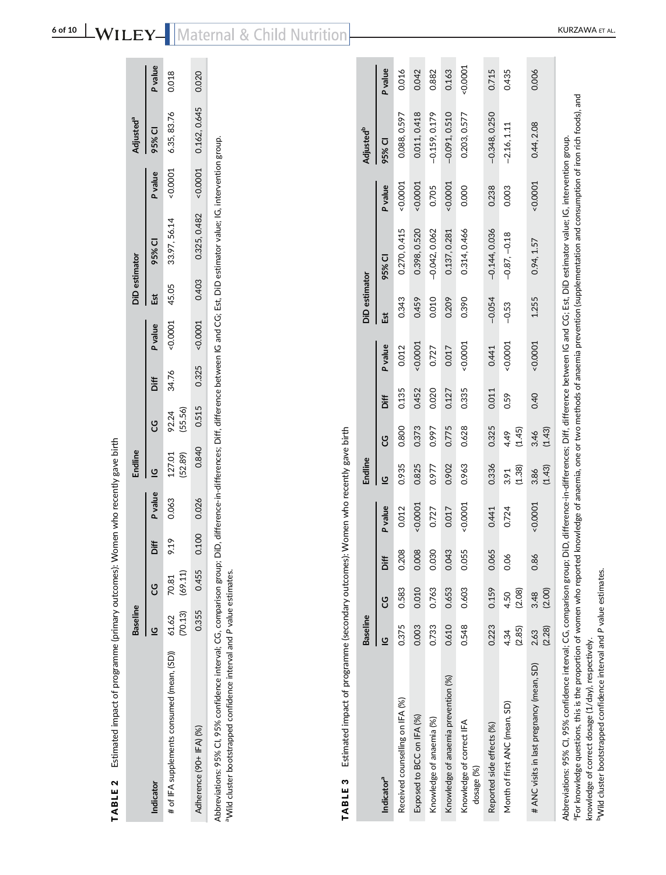|                                            | <b>Baseline</b> |         |      |             | Endline  |         |      |         | <b>DiD</b> estimator |                                            |         | Adjusted <sup>a</sup> |         |
|--------------------------------------------|-----------------|---------|------|-------------|----------|---------|------|---------|----------------------|--------------------------------------------|---------|-----------------------|---------|
| ndicator                                   | $\overline{2}$  | ပ္ပ     |      | Diff Pvalue | <u>ت</u> | .<br>ს  | Diff | P value |                      | Est 95% CI                                 | P value | 95% CI                | P value |
| # of IFA supplements consumed (mean, (SD)) | 61.62           | 70.81   | 9.19 | 0.063       | 127.01   | 92.24   |      |         |                      | 34.76 < 0.0001 45.05 33.97, 56.14 < 0.0001 |         | 6.35, 83.76           | 0.018   |
|                                            | (70.13)         | (69.11) |      |             | (52.89)  | (55.56) |      |         |                      |                                            |         |                       |         |

Estimated impact of programme (primary outcomes): Women who recently gave birth TABLE 2 Estimated impact of programme (primary outcomes): Women who recently gave birth TABLE 2

Adherence (901 0.325, 0.432 0.455 0.325 0.325 0.325 0.325 0.325 0.325 0.325 0.325 0.325 0.325, 0.492 0.020<br>Adherence (901 0.025, 0.492 0.492 0.492 0.020 0.000 0.000 0.000 0.000 0.000 0.000 0.000 0.000 0.020 0.021 0.02 Abbreviations: 95% CI, 95% confidence interval; CG, comparison group; DiD, difference-in-differences; Diff, difference between IG and CG; Est, DiD estimator value; IG, intervention group. Abbreviations: 95% CI, 95% confidence interval; CG, comparison group; DiD, difference-in-differences; Diff, difference between IG and CG; Est, DiD estimator value; IG, intervention group. <sup>a</sup>Wild cluster bootstrapped confidence interval and P value estimates. aWild cluster bootstrapped confidence interval and *P* value estimates.

| i                       |
|-------------------------|
| .<br>.<br>.<br>١        |
|                         |
|                         |
|                         |
| $\vdots$                |
|                         |
| . ^* ^*^^*^ ^*^ ^^<br>١ |
|                         |
|                         |
| l<br>I<br>くしこくト<br>ı    |
|                         |

 $\mathcal{L}^{\text{max}}$ 

 $\overline{\phantom{a}}$ 

|                                                                                                                                                                                             | <b>Baseline</b> |                |       |                | Endline        |                |       |                | DiD estimator |                 |                | Adjusted <sup>b</sup> |           |
|---------------------------------------------------------------------------------------------------------------------------------------------------------------------------------------------|-----------------|----------------|-------|----------------|----------------|----------------|-------|----------------|---------------|-----------------|----------------|-----------------------|-----------|
| Indicator <sup>a</sup>                                                                                                                                                                      | $\overline{6}$  | ပ္ပ            | δif   | <b>P</b> value | $\overline{2}$ | ပ္ပ            | ă     | <b>P</b> value | Est           | 95% CI          | <b>P</b> value | 95% CI                | P value   |
| Received counselling on IFA (%)                                                                                                                                                             | 0.375           | 0.583          | 0.208 | 0.012          | 0.935          | 0.800          | 0.135 | 0.012          | 0.343         | 0.270, 0.415    | 0.0001         | 0.088, 0.597          | 0.016     |
| Exposed to BCC on IFA (%)                                                                                                                                                                   | 0.003           | 0.010          | 0.008 | 0.0001         | 0.825          | 0.373          | 0.452 | 0.0001         | 0.459         | 0.398, 0.520    | 0.0001         | 0.011, 0.418          | 0.042     |
| Knowledge of anaemia (%)                                                                                                                                                                    | 0.733           | 0.763          | 0.030 | 0.727          | 0.977          | 0.997          | 0.020 | 0.727          | 0.010         | $-0.042, 0.062$ | 0.705          | $-0.159, 0.179$       | 0.882     |
| Knowledge of anaemia prevention (%)                                                                                                                                                         | 0.610           | 0.653          | 0.043 | 0.017          | 0.902          | 0.775          | 0.127 | 0.017          | 0.209         | 0.137, 0.281    | 0.0001         | $-0.091, 0.510$       | 0.163     |
| Knowledge of correct IFA<br>dosage (%)                                                                                                                                                      | 0.548           | 0.603          | 0.055 | $-0.0001$      | 0.963          | 0.628          | 0.335 | $-0.0001$      | 0.390         | 0.314, 0.466    | 0.000          | 0.203, 0.577          | $-0.0001$ |
| Reported side effects (%)                                                                                                                                                                   | 0.223           | 0.159          | 0.065 | 0.441          | 0.336          | 0.325          | 0.011 | 0.441          | $-0.054$      | $-0.144, 0.036$ | 0.238          | $-0.348, 0.250$       | 0.715     |
| Month of first ANC (mean, SD)                                                                                                                                                               | (2.85)<br>4.34  | (2.08)<br>4.50 | 0.06  | 0.724          | (1.38)<br>3.91 | (1.45)<br>4.49 | 0.59  | 0.0001         | $-0.53$       | $-0.87, -0.18$  | 0.003          | $-2.16, 1.11$         | 0.435     |
| # ANC visits in last pregnancy (mean, SD)                                                                                                                                                   | (2.28)<br>2.63  | (2.00)<br>3.48 | 0.86  | 0.0001         | (1.43)<br>3.86 | (1.43)<br>3.46 | 0.40  | $-0.0001$      | 1.255         | 0.94, 1.57      | 0.0001         | 0.44, 2.08            | 0.006     |
| Abbreviations: 95% C), 95% confidence interval; CG, comparison group; DiD, difference-in-differences; Diff, difference between IG and CG; Est, DiD estimator value; IG, intervention group. |                 |                |       |                |                |                |       |                |               |                 |                |                       |           |

a For knowledge questions, this is the proportion of women who reported knowledge of anaemia, one or two methods of anaemia prevention (supplementation and consumption of iron rich foods), and aFor knowledge questions, this is the proportion of women who reported knowledge of anaemia, one or two methods of anaemia prevention (supplementation and consumption of iron rich foods), and knowledge of correct dosage (1/day), respectively. knowledge of correct dosage (1/day), respectively.

<sup>b</sup>Wild cluster bootstrapped confidence interval and P value estimates. bWild cluster bootstrapped confidence interval and *P* value estimates.

0.020

0.162, 0.645

0.325, 0.482 <0.0001

0.403

 $0.0001$ 

0.325

0.515

0.840

0.100 0.026

0.455

0.355

Adherence (90+IFA) (%)

P value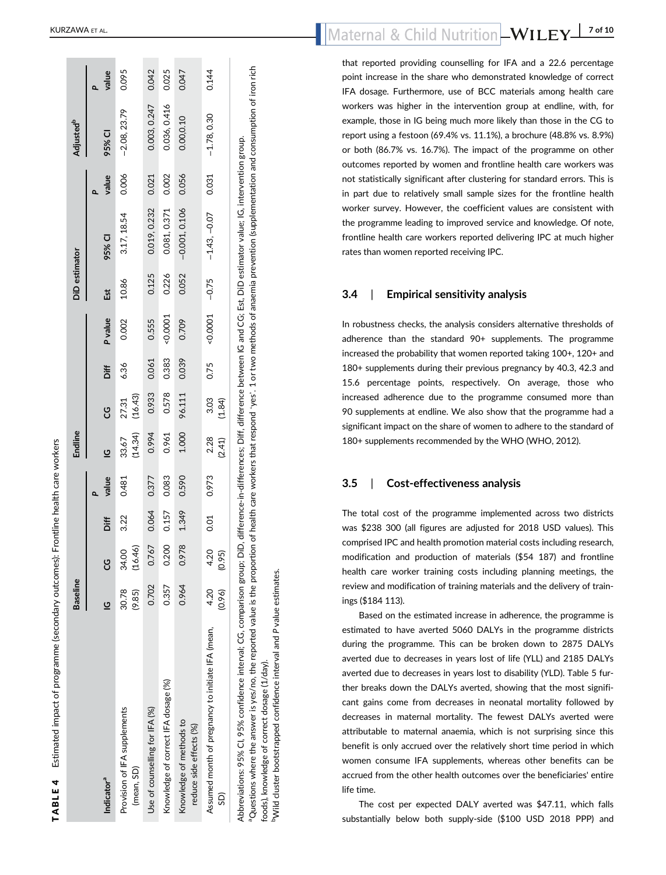|                                                                                                                                                                                                                                                                                      | <b>Baseline</b> |                           |       |       | Endline          |                  |       |         | <b>DiD</b> estimator |                                                                                                                       |       | <b>Adjusted</b> <sup>b</sup> |       |
|--------------------------------------------------------------------------------------------------------------------------------------------------------------------------------------------------------------------------------------------------------------------------------------|-----------------|---------------------------|-------|-------|------------------|------------------|-------|---------|----------------------|-----------------------------------------------------------------------------------------------------------------------|-------|------------------------------|-------|
| Indicator <sup>a</sup>                                                                                                                                                                                                                                                               | $\overline{a}$  | ပ္ပ                       | ă     | value | $\overline{2}$   | ပ္ပ              | Diff  | P value | <u>Est</u>           | 95% CI                                                                                                                | value | 95% CI                       | value |
| Provision of IFA supplements<br>(mean, SD)                                                                                                                                                                                                                                           | 30.78<br>(9.85) | (16.46)<br>34.00          | 3.22  | 0.481 | (14.34)<br>33.67 | (16.43)<br>27.31 | 6.36  | 0.002   | 10.86                | 3.17, 18.54                                                                                                           | 0.006 | $-2.08, 23.79$               | 0.095 |
| Use of counselling for IFA (%)                                                                                                                                                                                                                                                       | 0.702           | 0.767                     | 0.064 | 0.377 | 0.994            | 0.933            | 0.061 | 0.555   | 0.125                | 0.019, 0.232                                                                                                          | 0.021 | 0.003, 0.247                 | 0.042 |
| Knowledge of correct IFA dosage (%)                                                                                                                                                                                                                                                  | 0.357           | 1,200                     | 0.157 | 0.083 | 0.961            | 0.578            | 0.383 | 0.0001  | 0.226                | 0.081, 0.371                                                                                                          | 0.002 | 0.036, 0.416                 | 0.025 |
| Knowledge of methods to<br>reduce side effects (%)                                                                                                                                                                                                                                   | 0.964           | .978<br>ö                 | 1.349 | 0.590 | 1.000            | 96.111           | 0.039 | 0.709   | 0.052                | $-0.001, 0.106$                                                                                                       | 0.056 | 0.00,0.10                    | 0.047 |
| Assumed month of pregnancy to initiate IFA (mean,<br>ĝ                                                                                                                                                                                                                               | (0.96)<br>4.20  | Š<br>$\tilde{\mathbf{e}}$ | 0.01  | 0.973 | (2.41)<br>2.28   | 3.03<br>(1.84)   | 0.75  | 0.0001  | $-0.75$              | $-1.43, -0.07$                                                                                                        | 0.031 | $-1.78, 0.30$                | 0.144 |
| "Questions where the answer is yes/no, the reported value is the proportion of health care workers that respond 'yes'. 1 or two methods of anaemia prevention (supplementation and consumption of iron rich<br>Abbreviations: 95% CI, 95% confidence interval; CG, comparison group; |                 |                           |       |       |                  |                  |       |         |                      | DiD, difference-in-differences; Diff, difference between IG and CG; Est, DiD estimator value; IG, intervention group. |       |                              |       |

foods), knowledge of correct dosage (1/day).

oods), knowledge of correct dosage (1/day).

bWild cluster bootstrapped confidence interval and *P* value estimates.

Wild cluster bootstrapped confidence interval and P value estimates

TABLE 4

Estimated impact of programme (secondary outcomes): Frontline health care workers

Estimated impact of programme (secondary outcomes): Frontline health care workers

Maternal & Child Nutrition - WILEY 70f10

that reported providing counselling for IFA and a 22.6 percentage point increase in the share who demonstrated knowledge of correct IFA dosage. Furthermore, use of BCC materials among health care workers was higher in the intervention group at endline, with, for example, those in IG being much more likely than those in the CG to report using a festoon (69.4% vs. 11.1%), a brochure (48.8% vs. 8.9%) or both (86.7% vs. 16.7%). The impact of the programme on other outcomes reported by women and frontline health care workers was not statistically significant after clustering for standard errors. This is in part due to relatively small sample sizes for the frontline health worker survey. However, the coefficient values are consistent with the programme leading to improved service and knowledge. Of note, frontline health care workers reported delivering IPC at much higher rates than women reported receiving IPC.

# 3.4 | Empirical sensitivity analysis

In robustness checks, the analysis considers alternative thresholds of adherence than the standard 90+ supplements. The programme increased the probability that women reported taking 100+, 120+ and 180+ supplements during their previous pregnancy by 40.3, 42.3 and 15.6 percentage points, respectively. On average, those who increased adherence due to the programme consumed more than 90 supplements at endline. We also show that the programme had a significant impact on the share of women to adhere to the standard of 180+ supplements recommended by the WHO (WHO, 2012).

#### 3.5 | Cost-effectiveness analysis

The total cost of the programme implemented across two districts was \$238 300 (all figures are adjusted for 2018 USD values). This comprised IPC and health promotion material costs including research, modification and production of materials (\$54 187) and frontline health care worker training costs including planning meetings, the review and modification of training materials and the delivery of trainings (\$184 113).

Based on the estimated increase in adherence, the programme is estimated to have averted 5060 DALYs in the programme districts during the programme. This can be broken down to 2875 DALYs averted due to decreases in years lost of life (YLL) and 2185 DALYs averted due to decreases in years lost to disability (YLD). Table 5 further breaks down the DALYs averted, showing that the most significant gains come from decreases in neonatal mortality followed by decreases in maternal mortality. The fewest DALYs averted were attributable to maternal anaemia, which is not surprising since this benefit is only accrued over the relatively short time period in which women consume IFA supplements, whereas other benefits can be accrued from the other health outcomes over the beneficiaries' entire life time.

The cost per expected DALY averted was \$47.11, which falls substantially below both supply-side (\$100 USD 2018 PPP) and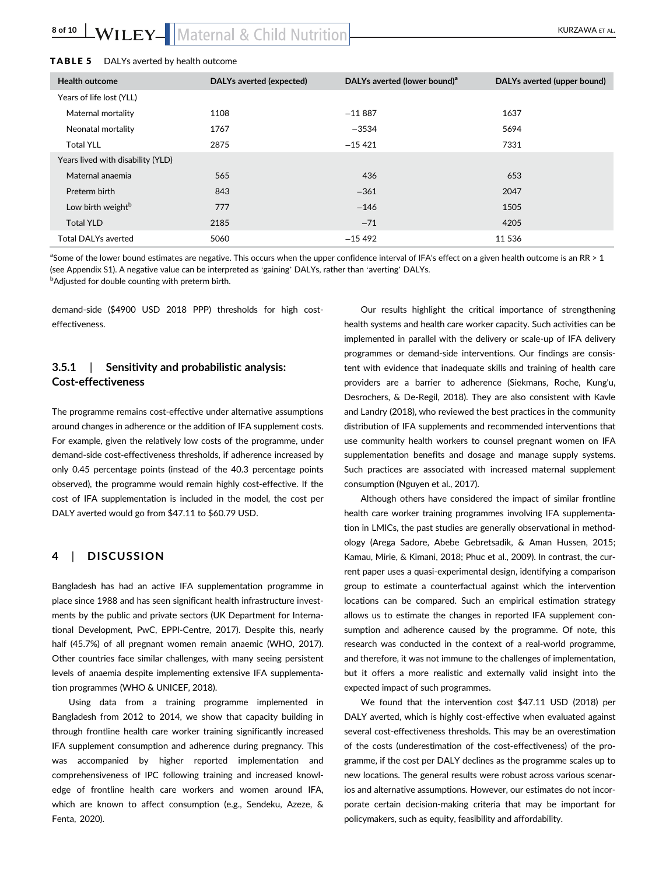| <b>Health outcome</b>             | DALYs averted (expected) | DALYs averted (lower bound) <sup>a</sup> | DALYs averted (upper bound) |
|-----------------------------------|--------------------------|------------------------------------------|-----------------------------|
| Years of life lost (YLL)          |                          |                                          |                             |
| Maternal mortality                | 1108                     | $-11887$                                 | 1637                        |
| Neonatal mortality                | 1767                     | $-3534$                                  | 5694                        |
| <b>Total YLL</b>                  | 2875                     | $-15421$                                 | 7331                        |
| Years lived with disability (YLD) |                          |                                          |                             |
| Maternal anaemia                  | 565                      | 436                                      | 653                         |
| Preterm birth                     | 843                      | $-361$                                   | 2047                        |
| Low birth weight <sup>b</sup>     | 777                      | $-146$                                   | 1505                        |
| <b>Total YLD</b>                  | 2185                     | $-71$                                    | 4205                        |
| <b>Total DALYs averted</b>        | 5060                     | $-15492$                                 | 11 536                      |

#### TABLE 5 DALYs averted by health outcome

<sup>a</sup>Some of the lower bound estimates are negative. This occurs when the upper confidence interval of IFA's effect on a given health outcome is an RR > 1 (see Appendix S1). A negative value can be interpreted as 'gaining' DALYs, rather than 'averting' DALYs.

<sup>b</sup>Adjusted for double counting with preterm birth.

demand-side (\$4900 USD 2018 PPP) thresholds for high costeffectiveness.

# 3.5.1 | Sensitivity and probabilistic analysis: Cost-effectiveness

The programme remains cost-effective under alternative assumptions around changes in adherence or the addition of IFA supplement costs. For example, given the relatively low costs of the programme, under demand-side cost-effectiveness thresholds, if adherence increased by only 0.45 percentage points (instead of the 40.3 percentage points observed), the programme would remain highly cost-effective. If the cost of IFA supplementation is included in the model, the cost per DALY averted would go from \$47.11 to \$60.79 USD.

#### 4 | DISCUSSION

Bangladesh has had an active IFA supplementation programme in place since 1988 and has seen significant health infrastructure investments by the public and private sectors (UK Department for International Development, PwC, EPPI-Centre, 2017). Despite this, nearly half (45.7%) of all pregnant women remain anaemic (WHO, 2017). Other countries face similar challenges, with many seeing persistent levels of anaemia despite implementing extensive IFA supplementation programmes (WHO & UNICEF, 2018).

Using data from a training programme implemented in Bangladesh from 2012 to 2014, we show that capacity building in through frontline health care worker training significantly increased IFA supplement consumption and adherence during pregnancy. This was accompanied by higher reported implementation and comprehensiveness of IPC following training and increased knowledge of frontline health care workers and women around IFA, which are known to affect consumption (e.g., Sendeku, Azeze, & Fenta, 2020).

Our results highlight the critical importance of strengthening health systems and health care worker capacity. Such activities can be implemented in parallel with the delivery or scale-up of IFA delivery programmes or demand-side interventions. Our findings are consistent with evidence that inadequate skills and training of health care providers are a barrier to adherence (Siekmans, Roche, Kung'u, Desrochers, & De-Regil, 2018). They are also consistent with Kavle and Landry (2018), who reviewed the best practices in the community distribution of IFA supplements and recommended interventions that use community health workers to counsel pregnant women on IFA supplementation benefits and dosage and manage supply systems. Such practices are associated with increased maternal supplement consumption (Nguyen et al., 2017).

Although others have considered the impact of similar frontline health care worker training programmes involving IFA supplementation in LMICs, the past studies are generally observational in methodology (Arega Sadore, Abebe Gebretsadik, & Aman Hussen, 2015; Kamau, Mirie, & Kimani, 2018; Phuc et al., 2009). In contrast, the current paper uses a quasi-experimental design, identifying a comparison group to estimate a counterfactual against which the intervention locations can be compared. Such an empirical estimation strategy allows us to estimate the changes in reported IFA supplement consumption and adherence caused by the programme. Of note, this research was conducted in the context of a real-world programme, and therefore, it was not immune to the challenges of implementation, but it offers a more realistic and externally valid insight into the expected impact of such programmes.

We found that the intervention cost \$47.11 USD (2018) per DALY averted, which is highly cost-effective when evaluated against several cost-effectiveness thresholds. This may be an overestimation of the costs (underestimation of the cost-effectiveness) of the programme, if the cost per DALY declines as the programme scales up to new locations. The general results were robust across various scenarios and alternative assumptions. However, our estimates do not incorporate certain decision-making criteria that may be important for policymakers, such as equity, feasibility and affordability.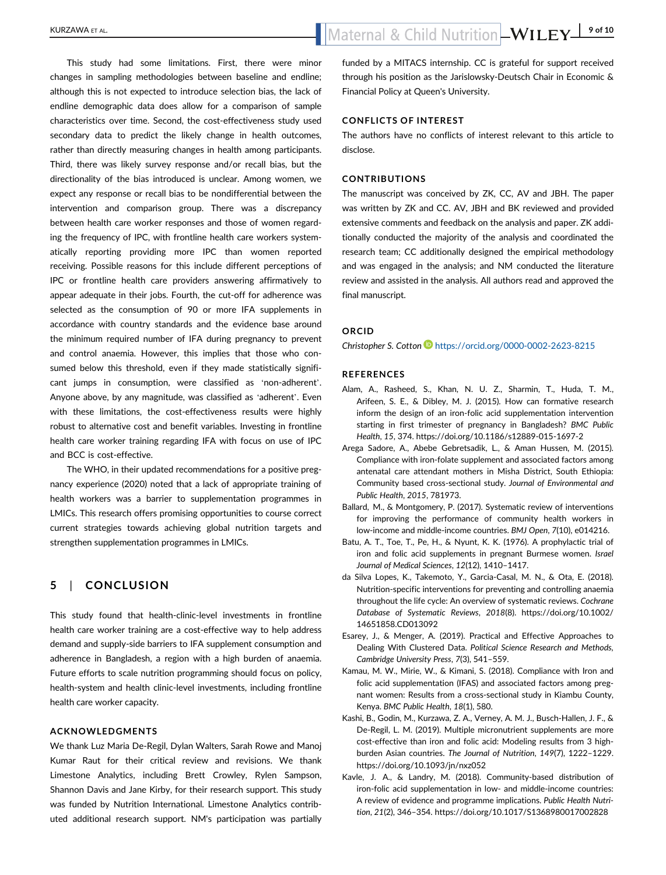This study had some limitations. First, there were minor changes in sampling methodologies between baseline and endline; although this is not expected to introduce selection bias, the lack of endline demographic data does allow for a comparison of sample characteristics over time. Second, the cost-effectiveness study used secondary data to predict the likely change in health outcomes, rather than directly measuring changes in health among participants. Third, there was likely survey response and/or recall bias, but the directionality of the bias introduced is unclear. Among women, we expect any response or recall bias to be nondifferential between the intervention and comparison group. There was a discrepancy between health care worker responses and those of women regarding the frequency of IPC, with frontline health care workers systematically reporting providing more IPC than women reported receiving. Possible reasons for this include different perceptions of IPC or frontline health care providers answering affirmatively to appear adequate in their jobs. Fourth, the cut-off for adherence was selected as the consumption of 90 or more IFA supplements in accordance with country standards and the evidence base around the minimum required number of IFA during pregnancy to prevent and control anaemia. However, this implies that those who consumed below this threshold, even if they made statistically significant jumps in consumption, were classified as 'non-adherent'. Anyone above, by any magnitude, was classified as 'adherent'. Even with these limitations, the cost-effectiveness results were highly robust to alternative cost and benefit variables. Investing in frontline health care worker training regarding IFA with focus on use of IPC and BCC is cost-effective.

The WHO, in their updated recommendations for a positive pregnancy experience (2020) noted that a lack of appropriate training of health workers was a barrier to supplementation programmes in LMICs. This research offers promising opportunities to course correct current strategies towards achieving global nutrition targets and strengthen supplementation programmes in LMICs.

# 5 | CONCLUSION

This study found that health-clinic-level investments in frontline health care worker training are a cost-effective way to help address demand and supply-side barriers to IFA supplement consumption and adherence in Bangladesh, a region with a high burden of anaemia. Future efforts to scale nutrition programming should focus on policy, health-system and health clinic-level investments, including frontline health care worker capacity.

#### ACKNOWLEDGMENTS

We thank Luz Maria De-Regil, Dylan Walters, Sarah Rowe and Manoj Kumar Raut for their critical review and revisions. We thank Limestone Analytics, including Brett Crowley, Rylen Sampson, Shannon Davis and Jane Kirby, for their research support. This study was funded by Nutrition International. Limestone Analytics contributed additional research support. NM's participation was partially

funded by a MITACS internship. CC is grateful for support received through his position as the Jarislowsky-Deutsch Chair in Economic & Financial Policy at Queen's University.

#### CONFLICTS OF INTEREST

The authors have no conflicts of interest relevant to this article to disclose.

#### CONTRIBUTIONS

The manuscript was conceived by ZK, CC, AV and JBH. The paper was written by ZK and CC. AV, JBH and BK reviewed and provided extensive comments and feedback on the analysis and paper. ZK additionally conducted the majority of the analysis and coordinated the research team; CC additionally designed the empirical methodology and was engaged in the analysis; and NM conducted the literature review and assisted in the analysis. All authors read and approved the final manuscript.

#### ORCID

*Christopher S. Cotton* <https://orcid.org/0000-0002-2623-8215>

#### REFERENCES

- Alam, A., Rasheed, S., Khan, N. U. Z., Sharmin, T., Huda, T. M., Arifeen, S. E., & Dibley, M. J. (2015). How can formative research inform the design of an iron-folic acid supplementation intervention starting in first trimester of pregnancy in Bangladesh? *BMC Public Health*, *15*, 374.<https://doi.org/10.1186/s12889-015-1697-2>
- Arega Sadore, A., Abebe Gebretsadik, L., & Aman Hussen, M. (2015). Compliance with iron-folate supplement and associated factors among antenatal care attendant mothers in Misha District, South Ethiopia: Community based cross-sectional study. *Journal of Environmental and Public Health*, *2015*, 781973.
- Ballard, M., & Montgomery, P. (2017). Systematic review of interventions for improving the performance of community health workers in low-income and middle-income countries. *BMJ Open*, *7*(10), e014216.
- Batu, A. T., Toe, T., Pe, H., & Nyunt, K. K. (1976). A prophylactic trial of iron and folic acid supplements in pregnant Burmese women. *Israel Journal of Medical Sciences*, *12*(12), 1410–1417.
- da Silva Lopes, K., Takemoto, Y., Garcia-Casal, M. N., & Ota, E. (2018). Nutrition-specific interventions for preventing and controlling anaemia throughout the life cycle: An overview of systematic reviews. *Cochrane Database of Systematic Reviews*, *2018*(8). [https://doi.org/10.1002/](https://doi.org/10.1002/14651858.CD013092) [14651858.CD013092](https://doi.org/10.1002/14651858.CD013092)
- Esarey, J., & Menger, A. (2019). Practical and Effective Approaches to Dealing With Clustered Data. *Political Science Research and Methods, Cambridge University Press*, *7*(3), 541–559.
- Kamau, M. W., Mirie, W., & Kimani, S. (2018). Compliance with Iron and folic acid supplementation (IFAS) and associated factors among pregnant women: Results from a cross-sectional study in Kiambu County, Kenya. *BMC Public Health*, *18*(1), 580.
- Kashi, B., Godin, M., Kurzawa, Z. A., Verney, A. M. J., Busch-Hallen, J. F., & De-Regil, L. M. (2019). Multiple micronutrient supplements are more cost-effective than iron and folic acid: Modeling results from 3 highburden Asian countries. *The Journal of Nutrition*, *149*(7), 1222–1229. <https://doi.org/10.1093/jn/nxz052>
- Kavle, J. A., & Landry, M. (2018). Community-based distribution of iron-folic acid supplementation in low- and middle-income countries: A review of evidence and programme implications. *Public Health Nutrition*, *21*(2), 346–354.<https://doi.org/10.1017/S1368980017002828>